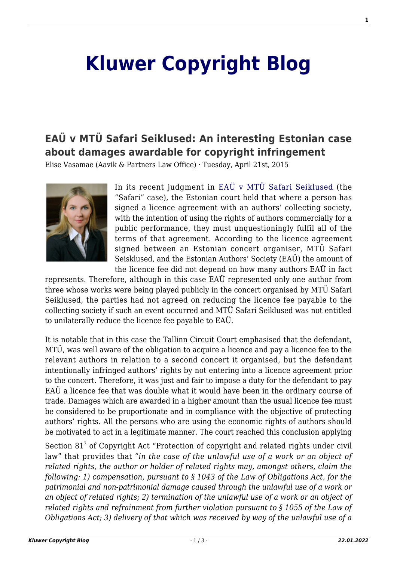## **[Kluwer Copyright Blog](http://copyrightblog.kluweriplaw.com/)**

## **[EAÜ v MTÜ Safari Seiklused: An interesting Estonian case](http://copyrightblog.kluweriplaw.com/2015/04/21/eau-v-mtu-safari-seiklused-an-interesting-estonian-case-about-damages-awardable-for-copyright-infringement/) [about damages awardable for copyright infringement](http://copyrightblog.kluweriplaw.com/2015/04/21/eau-v-mtu-safari-seiklused-an-interesting-estonian-case-about-damages-awardable-for-copyright-infringement/)**

Elise Vasamae (Aavik & Partners Law Office) · Tuesday, April 21st, 2015



In its recent judgment in [EAÜ v MTÜ Safari Seiklused \(](http://copyrightblog.kluweriplaw.com/wp-content/uploads/sites/49/2015/04/EAÜ-vs-SAFARI-2-13-45775.pdf)the "Safari" case), the Estonian court held that where a person has signed a licence agreement with an authors' collecting society, with the intention of using the rights of authors commercially for a public performance, they must unquestioningly fulfil all of the terms of that agreement. According to the licence agreement signed between an Estonian concert organiser, MTÜ Safari Seisklused, and the Estonian Authors' Society (EAÜ) the amount of the licence fee did not depend on how many authors EAÜ in fact

represents. Therefore, although in this case EAÜ represented only one author from three whose works were being played publicly in the concert organised by MTÜ Safari Seiklused, the parties had not agreed on reducing the licence fee payable to the collecting society if such an event occurred and MTÜ Safari Seiklused was not entitled to unilaterally reduce the licence fee payable to EAÜ.

It is notable that in this case the Tallinn Circuit Court emphasised that the defendant, MTÜ, was well aware of the obligation to acquire a licence and pay a licence fee to the relevant authors in relation to a second concert it organised, but the defendant intentionally infringed authors' rights by not entering into a licence agreement prior to the concert. Therefore, it was just and fair to impose a duty for the defendant to pay EAÜ a licence fee that was double what it would have been in the ordinary course of trade. Damages which are awarded in a higher amount than the usual licence fee must be considered to be proportionate and in compliance with the objective of protecting authors' rights. All the persons who are using the economic rights of authors should be motivated to act in a legitimate manner. The court reached this conclusion applying

Section 81<sup>7</sup> of Copyright Act "Protection of copyright and related rights under civil law" that provides that "*in the case of the unlawful use of a work or an object of related rights, the author or holder of related rights may, amongst others, claim the following: 1) compensation, pursuant to § 1043 of the Law of Obligations Act, for the patrimonial and non-patrimonial damage caused through the unlawful use of a work or an object of related rights; 2) termination of the unlawful use of a work or an object of related rights and refrainment from further violation pursuant to § 1055 of the Law of Obligations Act; 3) delivery of that which was received by way of the unlawful use of a*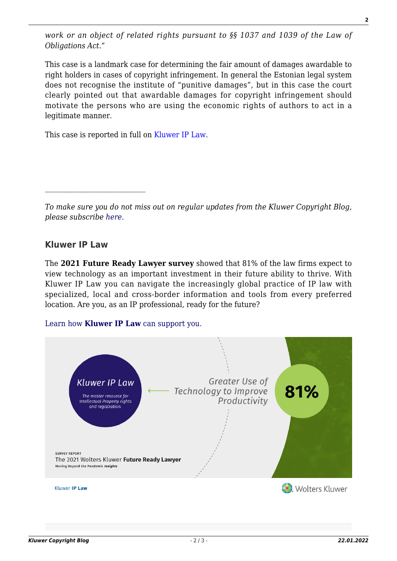*work or an object of related rights pursuant to §§ 1037 and 1039 of the Law of Obligations Act*."

This case is a landmark case for determining the fair amount of damages awardable to right holders in cases of copyright infringement. In general the Estonian legal system does not recognise the institute of "punitive damages", but in this case the court clearly pointed out that awardable damages for copyright infringement should motivate the persons who are using the economic rights of authors to act in a legitimate manner.

This case is reported in full on [Kluwer IP Law.](http://www.kluweriplaw.com/CommonUI/patent-cases-specific.aspx?jurisdiction=Estonia&type=country&subject=copyright&custgroup=KTCL)

*To make sure you do not miss out on regular updates from the Kluwer Copyright Blog, please subscribe [here.](http://copyrightblog.kluweriplaw.com/newsletter)*

## **Kluwer IP Law**

The **2021 Future Ready Lawyer survey** showed that 81% of the law firms expect to view technology as an important investment in their future ability to thrive. With Kluwer IP Law you can navigate the increasingly global practice of IP law with specialized, local and cross-border information and tools from every preferred location. Are you, as an IP professional, ready for the future?

## [Learn how](https://www.wolterskluwer.com/en/solutions/kluweriplaw?utm_source=copyrightnblog&utm_medium=articleCTA&utm_campaign=article-banner) **[Kluwer IP Law](https://www.wolterskluwer.com/en/solutions/kluweriplaw?utm_source=copyrightnblog&utm_medium=articleCTA&utm_campaign=article-banner)** [can support you.](https://www.wolterskluwer.com/en/solutions/kluweriplaw?utm_source=copyrightnblog&utm_medium=articleCTA&utm_campaign=article-banner)